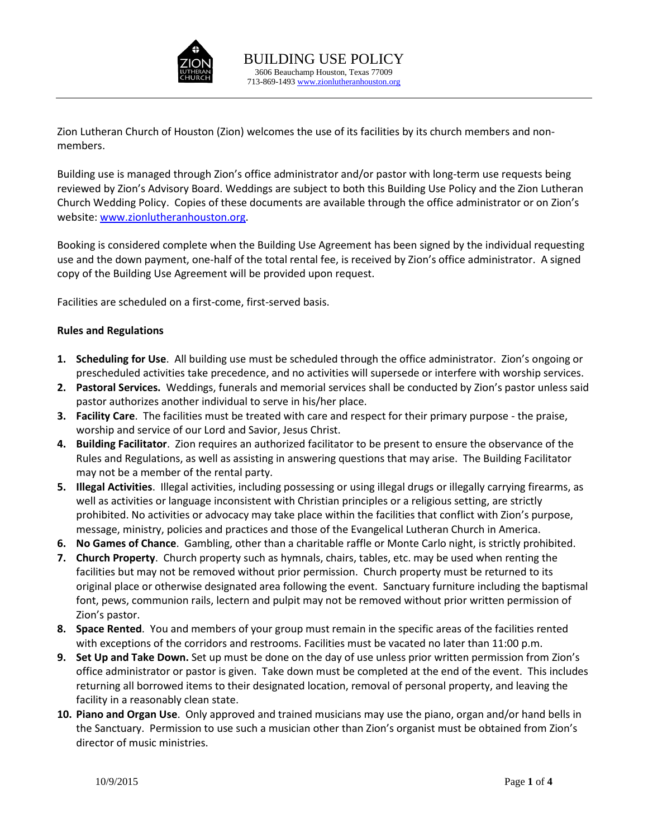

Zion Lutheran Church of Houston (Zion) welcomes the use of its facilities by its church members and nonmembers.

Building use is managed through Zion's office administrator and/or pastor with long-term use requests being reviewed by Zion's Advisory Board. Weddings are subject to both this Building Use Policy and the Zion Lutheran Church Wedding Policy. Copies of these documents are available through the office administrator or on Zion's website[: www.zionlutheranhouston.org.](http://www.zionlutheranhouston.org/)

Booking is considered complete when the Building Use Agreement has been signed by the individual requesting use and the down payment, one-half of the total rental fee, is received by Zion's office administrator. A signed copy of the Building Use Agreement will be provided upon request.

Facilities are scheduled on a first-come, first-served basis.

## **Rules and Regulations**

- **1. Scheduling for Use**. All building use must be scheduled through the office administrator. Zion's ongoing or prescheduled activities take precedence, and no activities will supersede or interfere with worship services.
- **2. Pastoral Services.** Weddings, funerals and memorial services shall be conducted by Zion's pastor unless said pastor authorizes another individual to serve in his/her place.
- **3. Facility Care**. The facilities must be treated with care and respect for their primary purpose the praise, worship and service of our Lord and Savior, Jesus Christ.
- **4. Building Facilitator**. Zion requires an authorized facilitator to be present to ensure the observance of the Rules and Regulations, as well as assisting in answering questions that may arise. The Building Facilitator may not be a member of the rental party.
- **5. Illegal Activities**. Illegal activities, including possessing or using illegal drugs or illegally carrying firearms, as well as activities or language inconsistent with Christian principles or a religious setting, are strictly prohibited. No activities or advocacy may take place within the facilities that conflict with Zion's purpose, message, ministry, policies and practices and those of the Evangelical Lutheran Church in America.
- **6. No Games of Chance**. Gambling, other than a charitable raffle or Monte Carlo night, is strictly prohibited.
- **7. Church Property**. Church property such as hymnals, chairs, tables, etc. may be used when renting the facilities but may not be removed without prior permission. Church property must be returned to its original place or otherwise designated area following the event. Sanctuary furniture including the baptismal font, pews, communion rails, lectern and pulpit may not be removed without prior written permission of Zion's pastor.
- **8. Space Rented**. You and members of your group must remain in the specific areas of the facilities rented with exceptions of the corridors and restrooms. Facilities must be vacated no later than 11:00 p.m.
- **9. Set Up and Take Down.** Set up must be done on the day of use unless prior written permission from Zion's office administrator or pastor is given. Take down must be completed at the end of the event. This includes returning all borrowed items to their designated location, removal of personal property, and leaving the facility in a reasonably clean state.
- **10. Piano and Organ Use**. Only approved and trained musicians may use the piano, organ and/or hand bells in the Sanctuary. Permission to use such a musician other than Zion's organist must be obtained from Zion's director of music ministries.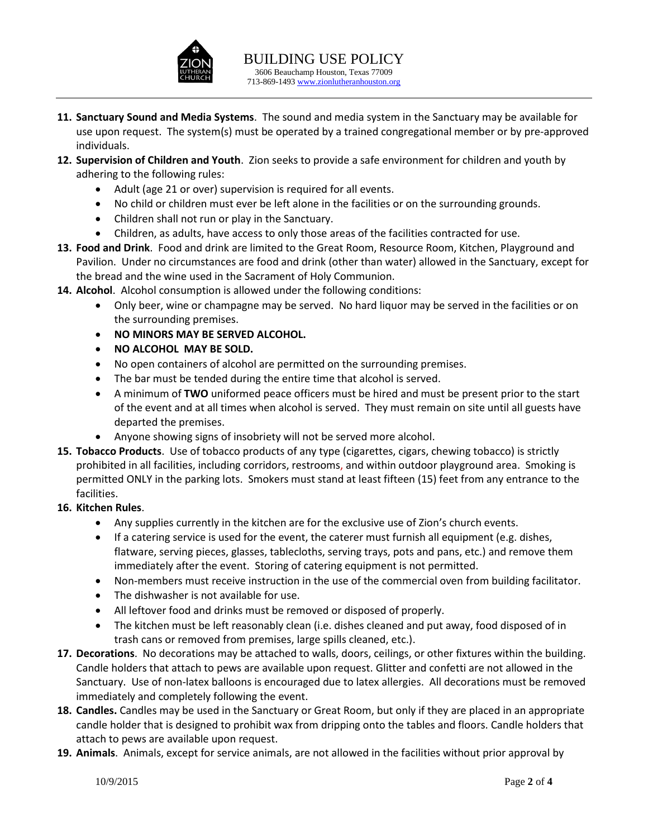

- **11. Sanctuary Sound and Media Systems**. The sound and media system in the Sanctuary may be available for use upon request. The system(s) must be operated by a trained congregational member or by pre-approved individuals.
- **12. Supervision of Children and Youth**. Zion seeks to provide a safe environment for children and youth by adhering to the following rules:
	- Adult (age 21 or over) supervision is required for all events.
	- No child or children must ever be left alone in the facilities or on the surrounding grounds.
	- Children shall not run or play in the Sanctuary.
	- Children, as adults, have access to only those areas of the facilities contracted for use.
- **13. Food and Drink**. Food and drink are limited to the Great Room, Resource Room, Kitchen, Playground and Pavilion. Under no circumstances are food and drink (other than water) allowed in the Sanctuary, except for the bread and the wine used in the Sacrament of Holy Communion.
- **14. Alcohol**. Alcohol consumption is allowed under the following conditions:
	- Only beer, wine or champagne may be served. No hard liquor may be served in the facilities or on the surrounding premises.
	- **NO MINORS MAY BE SERVED ALCOHOL.**
	- **NO ALCOHOL MAY BE SOLD.**
	- No open containers of alcohol are permitted on the surrounding premises.
	- The bar must be tended during the entire time that alcohol is served.
	- A minimum of **TWO** uniformed peace officers must be hired and must be present prior to the start of the event and at all times when alcohol is served. They must remain on site until all guests have departed the premises.
	- Anyone showing signs of insobriety will not be served more alcohol.
- **15. Tobacco Products**. Use of tobacco products of any type (cigarettes, cigars, chewing tobacco) is strictly prohibited in all facilities, including corridors, restrooms, and within outdoor playground area. Smoking is permitted ONLY in the parking lots. Smokers must stand at least fifteen (15) feet from any entrance to the facilities.

## **16. Kitchen Rules**.

- Any supplies currently in the kitchen are for the exclusive use of Zion's church events.
- $\bullet$  If a catering service is used for the event, the caterer must furnish all equipment (e.g. dishes, flatware, serving pieces, glasses, tablecloths, serving trays, pots and pans, etc.) and remove them immediately after the event. Storing of catering equipment is not permitted.
- Non-members must receive instruction in the use of the commercial oven from building facilitator.
- The dishwasher is not available for use.
- All leftover food and drinks must be removed or disposed of properly.
- The kitchen must be left reasonably clean (i.e. dishes cleaned and put away, food disposed of in trash cans or removed from premises, large spills cleaned, etc.).
- **17. Decorations**. No decorations may be attached to walls, doors, ceilings, or other fixtures within the building. Candle holders that attach to pews are available upon request. Glitter and confetti are not allowed in the Sanctuary. Use of non-latex balloons is encouraged due to latex allergies. All decorations must be removed immediately and completely following the event.
- **18. Candles.** Candles may be used in the Sanctuary or Great Room, but only if they are placed in an appropriate candle holder that is designed to prohibit wax from dripping onto the tables and floors. Candle holders that attach to pews are available upon request.
- **19. Animals**. Animals, except for service animals, are not allowed in the facilities without prior approval by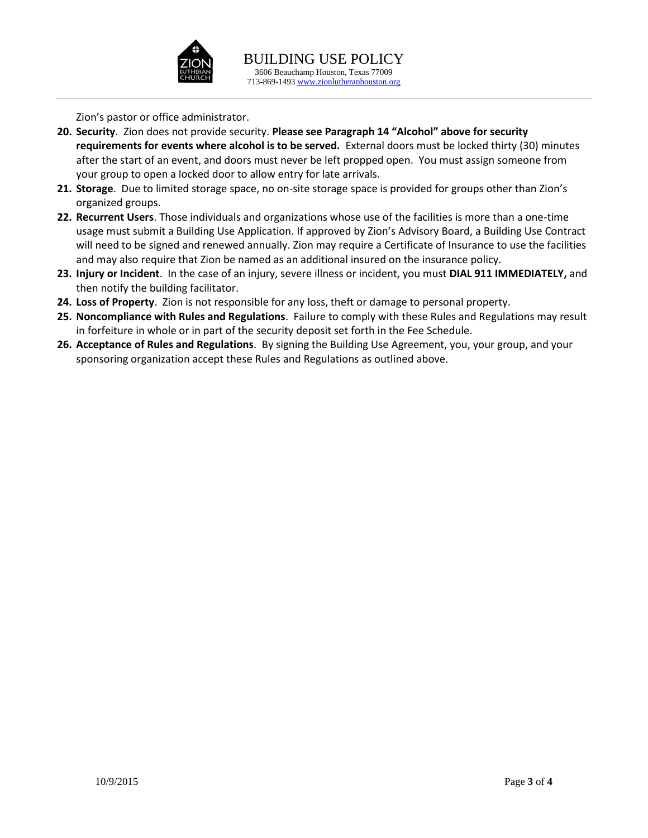

Zion's pastor or office administrator.

- **20. Security**. Zion does not provide security. **Please see Paragraph 14 "Alcohol" above for security requirements for events where alcohol is to be served.** External doors must be locked thirty (30) minutes after the start of an event, and doors must never be left propped open. You must assign someone from your group to open a locked door to allow entry for late arrivals.
- **21. Storage**. Due to limited storage space, no on-site storage space is provided for groups other than Zion's organized groups.
- **22. Recurrent Users**. Those individuals and organizations whose use of the facilities is more than a one-time usage must submit a Building Use Application. If approved by Zion's Advisory Board, a Building Use Contract will need to be signed and renewed annually. Zion may require a Certificate of Insurance to use the facilities and may also require that Zion be named as an additional insured on the insurance policy.
- **23. Injury or Incident**. In the case of an injury, severe illness or incident, you must **DIAL 911 IMMEDIATELY,** and then notify the building facilitator.
- **24. Loss of Property**. Zion is not responsible for any loss, theft or damage to personal property.
- **25. Noncompliance with Rules and Regulations**. Failure to comply with these Rules and Regulations may result in forfeiture in whole or in part of the security deposit set forth in the Fee Schedule.
- **26. Acceptance of Rules and Regulations**. By signing the Building Use Agreement, you, your group, and your sponsoring organization accept these Rules and Regulations as outlined above.